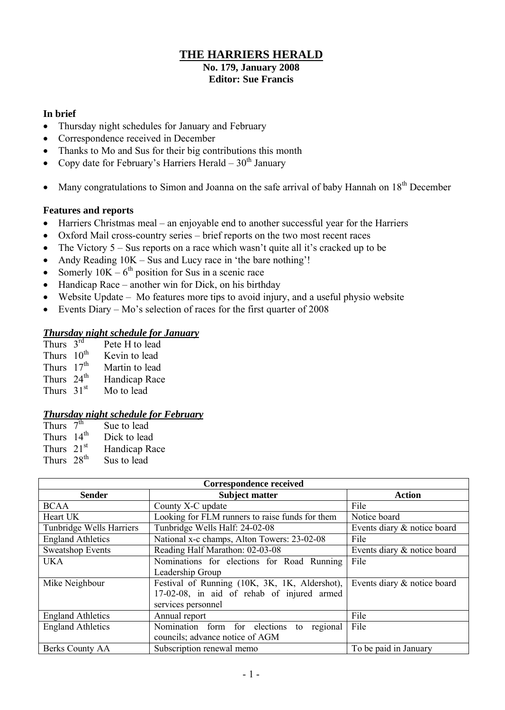## **THE HARRIERS HERALD**

#### **No. 179, January 2008 Editor: Sue Francis**

#### **In brief**

- Thursday night schedules for January and February
- Correspondence received in December
- Thanks to Mo and Sus for their big contributions this month
- Copy date for February's Harriers Herald  $30<sup>th</sup>$  January
- Many congratulations to Simon and Joanna on the safe arrival of baby Hannah on  $18<sup>th</sup>$  December

#### **Features and reports**

- Harriers Christmas meal an enjoyable end to another successful year for the Harriers
- Oxford Mail cross-country series brief reports on the two most recent races
- The Victory  $5 S$ us reports on a race which wasn't quite all it's cracked up to be
- Andy Reading  $10K Sus$  and Lucy race in 'the bare nothing'!
- Somerly  $10K 6^{th}$  position for Sus in a scenic race
- Handicap Race another win for Dick, on his birthday
- Website Update Mo features more tips to avoid injury, and a useful physio website
- Events Diary Mo's selection of races for the first quarter of 2008

#### *Thursday night schedule for January*

| Thurs $3^{rd}$         | Pete H to lead |
|------------------------|----------------|
| Thurs 10 <sup>th</sup> | Kevin to lead  |
| Thurs 17 <sup>th</sup> | Martin to lead |
| Thurs $24th$           | Handicap Race  |
| Thurs $31st$           | Mo to lead     |

#### *Thursday night schedule for February*

| Thurs $7^{\overline{th}}$ | Sue to lead   |
|---------------------------|---------------|
| Thurs 14 <sup>th</sup>    | Dick to lead  |
| Thurs $21st$              | Handicap Race |
| Thurs 28 <sup>th</sup>    | Sus to lead   |

| <b>Correspondence received</b> |                                                 |                             |  |  |  |
|--------------------------------|-------------------------------------------------|-----------------------------|--|--|--|
| <b>Sender</b>                  | <b>Subject matter</b>                           | <b>Action</b>               |  |  |  |
| <b>BCAA</b>                    | County X-C update                               | File                        |  |  |  |
| Heart UK                       | Looking for FLM runners to raise funds for them | Notice board                |  |  |  |
| Tunbridge Wells Harriers       | Tunbridge Wells Half: 24-02-08                  | Events diary & notice board |  |  |  |
| <b>England Athletics</b>       | National x-c champs, Alton Towers: 23-02-08     | File                        |  |  |  |
| <b>Sweatshop Events</b>        | Reading Half Marathon: 02-03-08                 | Events diary & notice board |  |  |  |
| <b>UKA</b>                     | Nominations for elections for Road Running      | File                        |  |  |  |
|                                | Leadership Group                                |                             |  |  |  |
| Mike Neighbour                 | Festival of Running (10K, 3K, 1K, Aldershot),   | Events diary & notice board |  |  |  |
|                                | 17-02-08, in aid of rehab of injured armed      |                             |  |  |  |
|                                | services personnel                              |                             |  |  |  |
| <b>England Athletics</b>       | Annual report                                   | File                        |  |  |  |
| <b>England Athletics</b>       | regional<br>Nomination form for elections<br>to | File                        |  |  |  |
|                                | councils; advance notice of AGM                 |                             |  |  |  |
| Berks County AA                | Subscription renewal memo                       | To be paid in January       |  |  |  |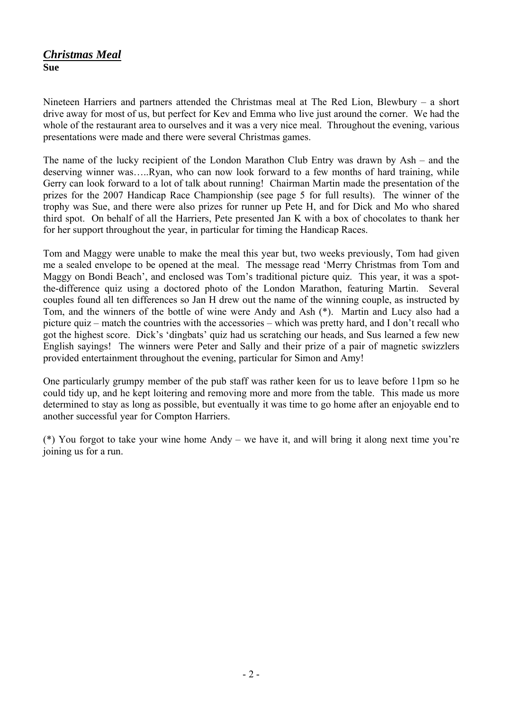## *Christmas Meal* **Sue**

Nineteen Harriers and partners attended the Christmas meal at The Red Lion, Blewbury – a short drive away for most of us, but perfect for Kev and Emma who live just around the corner. We had the whole of the restaurant area to ourselves and it was a very nice meal. Throughout the evening, various presentations were made and there were several Christmas games.

The name of the lucky recipient of the London Marathon Club Entry was drawn by Ash – and the deserving winner was…..Ryan, who can now look forward to a few months of hard training, while Gerry can look forward to a lot of talk about running! Chairman Martin made the presentation of the prizes for the 2007 Handicap Race Championship (see page 5 for full results). The winner of the trophy was Sue, and there were also prizes for runner up Pete H, and for Dick and Mo who shared third spot. On behalf of all the Harriers, Pete presented Jan K with a box of chocolates to thank her for her support throughout the year, in particular for timing the Handicap Races.

Tom and Maggy were unable to make the meal this year but, two weeks previously, Tom had given me a sealed envelope to be opened at the meal. The message read 'Merry Christmas from Tom and Maggy on Bondi Beach', and enclosed was Tom's traditional picture quiz. This year, it was a spotthe-difference quiz using a doctored photo of the London Marathon, featuring Martin. Several couples found all ten differences so Jan H drew out the name of the winning couple, as instructed by Tom, and the winners of the bottle of wine were Andy and Ash (\*). Martin and Lucy also had a picture quiz – match the countries with the accessories – which was pretty hard, and I don't recall who got the highest score. Dick's 'dingbats' quiz had us scratching our heads, and Sus learned a few new English sayings! The winners were Peter and Sally and their prize of a pair of magnetic swizzlers provided entertainment throughout the evening, particular for Simon and Amy!

One particularly grumpy member of the pub staff was rather keen for us to leave before 11pm so he could tidy up, and he kept loitering and removing more and more from the table. This made us more determined to stay as long as possible, but eventually it was time to go home after an enjoyable end to another successful year for Compton Harriers.

(\*) You forgot to take your wine home Andy – we have it, and will bring it along next time you're joining us for a run.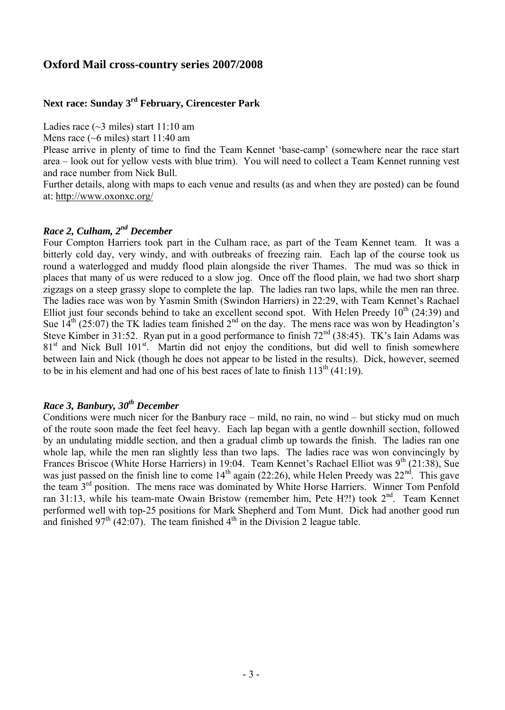#### **Oxford Mail cross-country series 2007/2008**

#### **Next race: Sunday 3 rd February, Cirencester Park**

Ladies race (~3 miles) start 11:10 am

Mens race (~6 miles) start 11:40 am

Please arrive in plenty of time to find the Team Kennet 'base-camp' (somewhere near the race start area – look out for yellow vests with blue trim). You will need to collect a Team Kennet running vest and race number from Nick Bull.

Further details, along with maps to each venue and results (as and when they are posted) can be found at:<http://www.oxonxc.org/>

#### *Race 2, Culham, 2 nd December*

Four Compton Harriers took part in the Culham race, as part of the Team Kennet team. It was a bitterly cold day, very windy, and with outbreaks of freezing rain. Each lap of the course took us round a waterlogged and muddy flood plain alongside the river Thames. The mud was so thick in places that many of us were reduced to a slow jog. Once off the flood plain, we had two short sharp zigzags on a steep grassy slope to complete the lap. The ladies ran two laps, while the men ran three. The ladies race was won by Yasmin Smith (Swindon Harriers) in 22:29, with Team Kennet's Rachael Elliot just four seconds behind to take an excellent second spot. With Helen Preedy  $10^{th}$  (24:39) and Sue  $14^{th}$  (25:07) the TK ladies team finished  $2^{nd}$  on the day. The mens race was won by Headington's Steve Kimber in 31:52. Ryan put in a good performance to finish  $72<sup>nd</sup>$  (38:45). TK's Iain Adams was 81<sup>st</sup> and Nick Bull 101<sup>st</sup>. Martin did not enjoy the conditions, but did well to finish somewhere between Iain and Nick (though he does not appear to be listed in the results). Dick, however, seemed to be in his element and had one of his best races of late to finish  $113<sup>th</sup> (41:19)$ .

#### *Race 3, Banbury, 30th December*

Conditions were much nicer for the Banbury race – mild, no rain, no wind – but sticky mud on much of the route soon made the feet feel heavy. Each lap began with a gentle downhill section, followed by an undulating middle section, and then a gradual climb up towards the finish. The ladies ran one whole lap, while the men ran slightly less than two laps. The ladies race was won convincingly by Frances Briscoe (White Horse Harriers) in 19:04. Team Kennet's Rachael Elliot was 9<sup>th</sup> (21:38), Sue was just passed on the finish line to come  $14<sup>th</sup>$  again (22:26), while Helen Preedy was  $22<sup>nd</sup>$ . This gave the team 3<sup>rd</sup> position. The mens race was dominated by White Horse Harriers. Winner Tom Penfold ran 31:13, while his team-mate Owain Bristow (remember him, Pete H?!) took 2<sup>nd</sup>. Team Kennet performed well with top-25 positions for Mark Shepherd and Tom Munt. Dick had another good run and finished  $97<sup>th</sup>$  (42:07). The team finished  $4<sup>th</sup>$  in the Division 2 league table.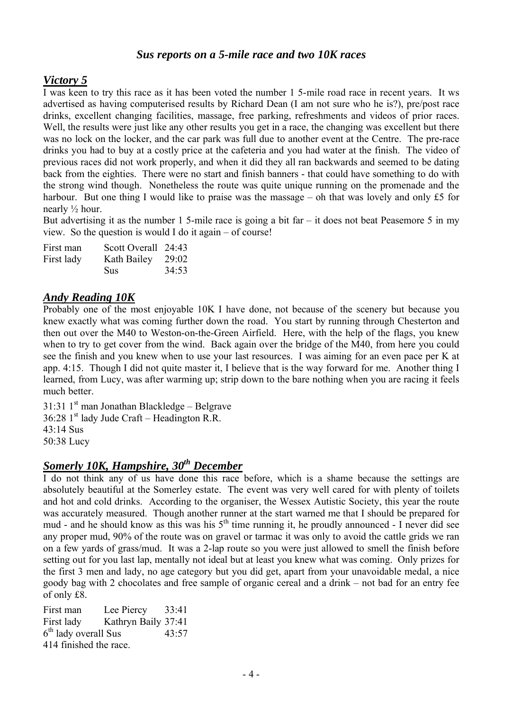#### *Sus reports on a 5-mile race and two 10K races*

## *Victory 5*

I was keen to try this race as it has been voted the number 1 5-mile road race in recent years. It ws advertised as having computerised results by Richard Dean (I am not sure who he is?), pre/post race drinks, excellent changing facilities, massage, free parking, refreshments and videos of prior races. Well, the results were just like any other results you get in a race, the changing was excellent but there was no lock on the locker, and the car park was full due to another event at the Centre. The pre-race drinks you had to buy at a costly price at the cafeteria and you had water at the finish. The video of previous races did not work properly, and when it did they all ran backwards and seemed to be dating back from the eighties. There were no start and finish banners - that could have something to do with the strong wind though. Nonetheless the route was quite unique running on the promenade and the harbour. But one thing I would like to praise was the massage – oh that was lovely and only  $£5$  for nearly  $\frac{1}{2}$  hour.

But advertising it as the number 1 5-mile race is going a bit far  $-$  it does not beat Peasemore 5 in my view. So the question is would I do it again – of course!

| First man  | Scott Overall 24:43 |       |
|------------|---------------------|-------|
| First lady | Kath Bailey         | 29:02 |
|            | <b>Sus</b>          | 34:53 |

### *Andy Reading 10K*

Probably one of the most enjoyable 10K I have done, not because of the scenery but because you knew exactly what was coming further down the road. You start by running through Chesterton and then out over the M40 to Weston-on-the-Green Airfield. Here, with the help of the flags, you knew when to try to get cover from the wind. Back again over the bridge of the M40, from here you could see the finish and you knew when to use your last resources. I was aiming for an even pace per K at app. 4:15. Though I did not quite master it, I believe that is the way forward for me. Another thing I learned, from Lucy, was after warming up; strip down to the bare nothing when you are racing it feels much better.

31:31 1<sup>st</sup> man Jonathan Blackledge – Belgrave

 $36:28$  1<sup>st</sup> lady Jude Craft – Headington R.R.

43:14 Sus

50:38 Lucy

## *Somerly 10K, Hampshire, 30th December*

I do not think any of us have done this race before, which is a shame because the settings are absolutely beautiful at the Somerley estate. The event was very well cared for with plenty of toilets and hot and cold drinks. According to the organiser, the Wessex Autistic Society, this year the route was accurately measured. Though another runner at the start warned me that I should be prepared for mud - and he should know as this was his  $5<sup>th</sup>$  time running it, he proudly announced - I never did see any proper mud, 90% of the route was on gravel or tarmac it was only to avoid the cattle grids we ran on a few yards of grass/mud. It was a 2-lap route so you were just allowed to smell the finish before setting out for you last lap, mentally not ideal but at least you knew what was coming. Only prizes for the first 3 men and lady, no age category but you did get, apart from your unavoidable medal, a nice goody bag with 2 chocolates and free sample of organic cereal and a drink – not bad for an entry fee of only £8.

First man Lee Piercy 33:41 First lady Kathryn Baily 37:41 6<sup>th</sup> lady overall Sus 43:57 414 finished the race.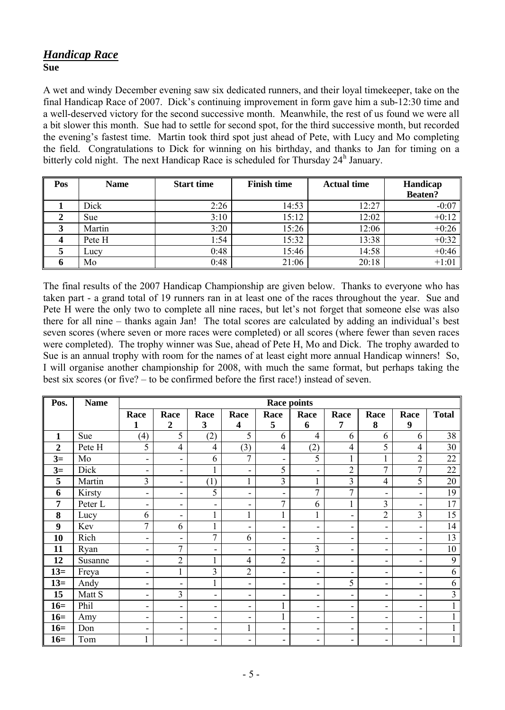## *Handicap Race* **Sue**

A wet and windy December evening saw six dedicated runners, and their loyal timekeeper, take on the final Handicap Race of 2007. Dick's continuing improvement in form gave him a sub-12:30 time and a well-deserved victory for the second successive month. Meanwhile, the rest of us found we were all a bit slower this month. Sue had to settle for second spot, for the third successive month, but recorded the evening's fastest time. Martin took third spot just ahead of Pete, with Lucy and Mo completing the field. Congratulations to Dick for winning on his birthday, and thanks to Jan for timing on a bitterly cold night. The next Handicap Race is scheduled for Thursday 24<sup>h</sup> January.

| Pos | <b>Name</b> | <b>Start time</b> | <b>Finish time</b> | <b>Actual time</b> | Handicap<br><b>Beaten?</b> |
|-----|-------------|-------------------|--------------------|--------------------|----------------------------|
|     | Dick        | 2:26              | 14:53              | 12:27              | $-0:07$                    |
|     | <b>Sue</b>  | 3:10              | 15:12              | 12:02              | $+0:12$                    |
|     | Martin      | 3:20              | 15:26              | 12:06              | $+0:26$                    |
|     | Pete H      | 1:54              | 15:32              | 13:38              | $+0:32$                    |
|     | Lucy        | 0:48              | 15:46              | 14:58              | $+0:46$                    |
|     | Mo          | 0:48              | 21:06              | 20:18              | $+1:01$                    |

The final results of the 2007 Handicap Championship are given below. Thanks to everyone who has taken part - a grand total of 19 runners ran in at least one of the races throughout the year. Sue and Pete H were the only two to complete all nine races, but let's not forget that someone else was also there for all nine – thanks again Jan! The total scores are calculated by adding an individual's best seven scores (where seven or more races were completed) or all scores (where fewer than seven races were completed). The trophy winner was Sue, ahead of Pete H, Mo and Dick. The trophy awarded to Sue is an annual trophy with room for the names of at least eight more annual Handicap winners! So, I will organise another championship for 2008, with much the same format, but perhaps taking the best six scores (or five? – to be confirmed before the first race!) instead of seven.

| Pos.             | <b>Name</b> | <b>Race points</b>           |                          |                          |                                 |                          |                          |                |                              |                          |              |
|------------------|-------------|------------------------------|--------------------------|--------------------------|---------------------------------|--------------------------|--------------------------|----------------|------------------------------|--------------------------|--------------|
|                  |             | Race<br>1                    | Race<br>$\boldsymbol{2}$ | Race<br>3                | Race<br>$\overline{\mathbf{4}}$ | Race<br>5                | Race<br>6                | Race<br>7      | Race<br>8                    | Race<br>9                | <b>Total</b> |
| 1                | Sue         | (4)                          | 5                        | (2)                      | 5                               | 6                        | $\overline{4}$           | 6              | 6                            | 6                        | 38           |
| $\boldsymbol{2}$ | Pete H      | 5                            | $\overline{4}$           | 4                        | (3)                             | $\overline{4}$           | (2)                      | $\overline{4}$ | 5                            | $\overline{4}$           | 30           |
| $3=$             | Mo          | $\qquad \qquad \blacksquare$ | $\overline{\phantom{a}}$ | 6                        | $\overline{7}$                  | $\overline{\phantom{a}}$ | 5                        |                |                              | $\overline{2}$           | 22           |
| $3=$             | Dick        | $\overline{\phantom{a}}$     | $\overline{\phantom{a}}$ | 1                        | $\qquad \qquad \blacksquare$    | 5                        | ۰                        | $\overline{2}$ | $\overline{7}$               | 7                        | 22           |
| 5                | Martin      | 3                            | $\overline{\phantom{a}}$ | (1)                      |                                 | 3                        |                          | $\overline{3}$ | $\overline{4}$               | 5                        | 20           |
| 6                | Kirsty      | $\qquad \qquad \blacksquare$ | $\overline{\phantom{a}}$ | 5                        | -                               | $\overline{\phantom{0}}$ | $\mathcal{I}$            | $\overline{7}$ | $\overline{\phantom{a}}$     | $\overline{\phantom{a}}$ | 19           |
| 7                | Peter L     | $\overline{\phantom{a}}$     | $\overline{\phantom{a}}$ | ۰                        | $\overline{\phantom{a}}$        | 7                        | 6                        |                | 3                            | $\overline{\phantom{a}}$ | 17           |
| 8                | Lucy        | 6                            | -                        | $\mathbf{1}$             | 1                               | 1                        |                          | -              | $\overline{2}$               | $\overline{3}$           | 15           |
| 9                | Kev         | 7                            | 6                        | $\mathbf{1}$             | Ξ.                              | -                        | $\overline{\phantom{a}}$ | -              | $\blacksquare$               | $\overline{\phantom{a}}$ | 14           |
| 10               | Rich        | $\qquad \qquad \blacksquare$ | $\overline{\phantom{a}}$ | 7                        | 6                               | $\overline{\phantom{a}}$ | $\overline{\phantom{a}}$ | -              | $\qquad \qquad \blacksquare$ | $\overline{\phantom{a}}$ | 13           |
| 11               | Ryan        | $\qquad \qquad \blacksquare$ | $\overline{7}$           | ۰                        | $\overline{\phantom{a}}$        | -                        | 3                        | -              | $\qquad \qquad \blacksquare$ | Ξ.                       | 10           |
| 12               | Susanne     | $\qquad \qquad \blacksquare$ | $\overline{2}$           | 1                        | $\overline{4}$                  | $\overline{c}$           | $\overline{\phantom{a}}$ | -              | $\blacksquare$               | $\overline{\phantom{a}}$ | 9            |
| $13=$            | Freya       | $\qquad \qquad \blacksquare$ | $\mathbf{1}$             | 3                        | $\overline{2}$                  | $\overline{\phantom{a}}$ | $\overline{\phantom{a}}$ | -              | $\qquad \qquad \blacksquare$ | $\overline{\phantom{a}}$ | 6            |
| $13=$            | Andy        | $\qquad \qquad \blacksquare$ | $\overline{\phantom{a}}$ | $\mathbf{1}$             | $\blacksquare$                  | -                        | $\overline{\phantom{a}}$ | 5              | $\overline{\phantom{a}}$     | Ξ.                       | 6            |
| 15               | Matt S      | $\qquad \qquad \blacksquare$ | 3                        | $\overline{\phantom{a}}$ | -                               | $\overline{\phantom{a}}$ | $\overline{\phantom{a}}$ | -              | $\overline{\phantom{a}}$     | ۰                        | 3            |
| $16=$            | Phil        | $\qquad \qquad \blacksquare$ | $\overline{\phantom{a}}$ | -                        | Ξ.                              |                          | $\overline{\phantom{a}}$ | Ξ.             | $\blacksquare$               | $\overline{\phantom{a}}$ |              |
| $16=$            | Amy         | $\qquad \qquad \blacksquare$ | $\overline{\phantom{a}}$ | -                        | -                               | 1                        | $\overline{\phantom{a}}$ | -              | $\qquad \qquad \blacksquare$ | Ξ.                       |              |
| $16=$            | Don         | $\qquad \qquad \blacksquare$ | $\overline{\phantom{a}}$ | -                        | 1                               | $\overline{\phantom{a}}$ | $\overline{\phantom{a}}$ | -              | $\overline{\phantom{a}}$     | ۰                        |              |
| $16=$            | Tom         |                              | $\overline{\phantom{a}}$ | -                        | $\overline{\phantom{a}}$        | $\overline{\phantom{a}}$ | $\overline{\phantom{a}}$ | -              | $\overline{\phantom{a}}$     | $\overline{\phantom{a}}$ |              |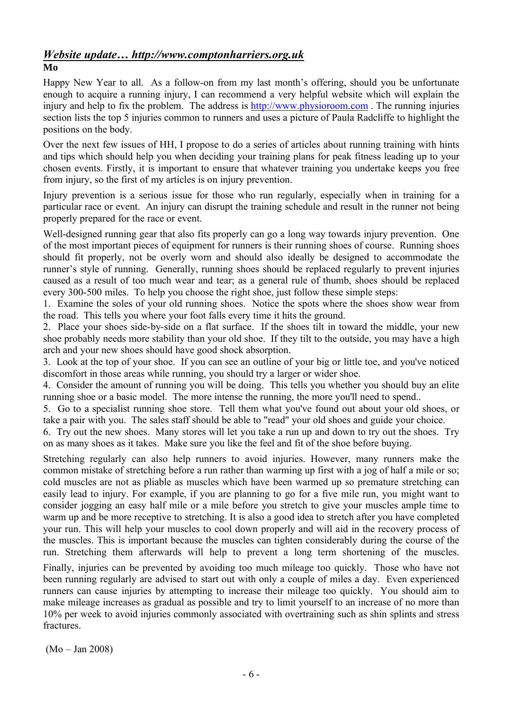# *Website update… http://www.comptonharriers.org.uk*

#### **Mo**

Happy New Year to all. As a follow-on from my last month's offering, should you be unfortunate enough to acquire a running injury, I can recommend a very helpful website which will explain the injury and help to fix the problem. The address is [http://www.physioroom.com](http://www.physioroom.com/). The running injuries section lists the top 5 injuries common to runners and uses a picture of Paula Radcliffe to highlight the positions on the body.

Over the next few issues of HH, I propose to do a series of articles about running training with hints and tips which should help you when deciding your training plans for peak fitness leading up to your chosen events. Firstly, it is important to ensure that whatever training you undertake keeps you free from injury, so the first of my articles is on injury prevention.

Injury prevention is a serious issue for those who run regularly, especially when in training for a particular race or event. An injury can disrupt the training schedule and result in the runner not being properly prepared for the race or event.

Well-designed running gear that also fits properly can go a long way towards injury prevention. One of the most important pieces of equipment for runners is their running shoes of course. Running shoes should fit properly, not be overly worn and should also ideally be designed to accommodate the runner's style of running. Generally, running shoes should be replaced regularly to prevent injuries caused as a result of too much wear and tear; as a general rule of thumb, shoes should be replaced every 300-500 miles. To help you choose the right shoe, just follow these simple steps:

1. Examine the soles of your old running shoes. Notice the spots where the shoes show wear from the road. This tells you where your foot falls every time it hits the ground.

2. Place your shoes side-by-side on a flat surface. If the shoes tilt in toward the middle, your new shoe probably needs more stability than your old shoe. If they tilt to the outside, you may have a high arch and your new shoes should have good shock absorption.

3. Look at the top of your shoe. If you can see an outline of your big or little toe, and you've noticed discomfort in those areas while running, you should try a larger or wider shoe.

4. Consider the amount of running you will be doing. This tells you whether you should buy an elite running shoe or a basic model. The more intense the running, the more you'll need to spend..

5. Go to a specialist running shoe store. Tell them what you've found out about your old shoes, or take a pair with you. The sales staff should be able to "read" your old shoes and guide your choice.

6. Try out the new shoes. Many stores will let you take a run up and down to try out the shoes. Try on as many shoes as it takes. Make sure you like the feel and fit of the shoe before buying.

Stretching regularly can also help runners to avoid injuries. However, many runners make the common mistake of stretching before a run rather than warming up first with a jog of half a mile or so; cold muscles are not as pliable as muscles which have been warmed up so premature stretching can easily lead to injury. For example, if you are planning to go for a five mile run, you might want to consider jogging an easy half mile or a mile before you stretch to give your muscles ample time to warm up and be more receptive to stretching. It is also a good idea to stretch after you have completed your run. This will help your muscles to cool down properly and will aid in the recovery process of the muscles. This is important because the muscles can tighten considerably during the course of the run. Stretching them afterwards will help to prevent a long term shortening of the muscles.

Finally, injuries can be prevented by avoiding too much mileage too quickly. Those who have not been running regularly are advised to start out with only a couple of miles a day. Even experienced runners can cause injuries by attempting to increase their mileage too quickly. You should aim to make mileage increases as gradual as possible and try to limit yourself to an increase of no more than 10% per week to avoid injuries commonly associated with overtraining such as shin splints and stress fractures.

(Mo – Jan 2008)